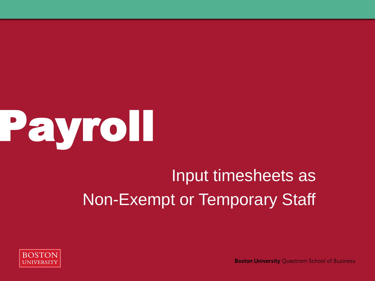

## Input timesheets as Non-Exempt or Temporary Staff



**Boston University Questrom School of Business**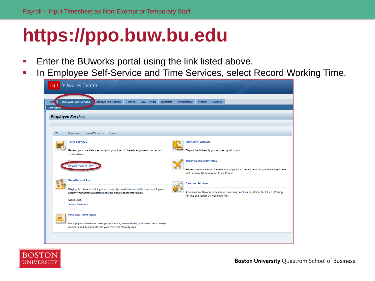### **https://ppo.buw.bu.edu**

- **Enter the BUworks portal using the link listed above.**
- **In Employee Self-Service and Time Services, select Record Working Time.**

| <b>BUworks Central</b>                                                                                                                                       |                                                                                                                                    |
|--------------------------------------------------------------------------------------------------------------------------------------------------------------|------------------------------------------------------------------------------------------------------------------------------------|
| Manager Self-Service<br><b>Employee Self-Service</b><br><b>ACCT XWalk</b><br>Finance<br>Home<br>Reporting<br><b>Overview</b>                                 | WebGUI<br>Worklist<br>Procurement                                                                                                  |
| <b>Employee Services</b>                                                                                                                                     |                                                                                                                                    |
| Homepage List of Services Search<br>▼                                                                                                                        |                                                                                                                                    |
| <b>Time Services</b>                                                                                                                                         | <b>Work Environment</b>                                                                                                            |
| Review your time balances and plan your time off. Weekly employees can record<br>working time.<br>Quick Links                                                | Display the University property assigned to you.<br><b>Travel Reimbursements</b>                                                   |
| <b>Record Working Time</b>                                                                                                                                   | Review the University's Travel Policy, apply for a Travel Credit Card, and manage Travel<br>and Expense Reimbursements via Concur. |
| <b>Benefits and Pay</b>                                                                                                                                      | <b>Campus Services</b>                                                                                                             |
| Display the plans in which you are currently enrolled and enroll in new benefit plans.<br>Display your salary statement and your direct deposit information. | Access non-BUworks self-service functions, such as enrollment for FitRec, Parking<br>Permits and Terrier Convenience Plan.         |
| <b>Quick Links</b><br><b>Salary Statement</b>                                                                                                                |                                                                                                                                    |
| <b>Personal Information</b><br>அ≣                                                                                                                            |                                                                                                                                    |
| Manage your addresses, emergency contact, personal data, information about family<br>members and dependents and your race and ethnicity data.                |                                                                                                                                    |
|                                                                                                                                                              |                                                                                                                                    |

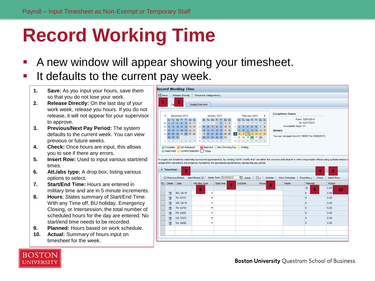# **Record Working Time**

- **A new window will appear showing your timesheet.**
- It defaults to the current pay week.
	- **1. Save:** As you input your hours, save them so that you do not lose your work.
	- **2. Release Directly:** On the last day of your work week, release you hours. If you do not release, it will not appear for your supervisor to approve.
	- **3. Previous/Next Pay Period:** The system defaults to the current week. You can view previous or future weeks.
	- **4. Check:** Once hours are input, this allows you to see if there any errors.
	- **5. Insert Row:** Used to input various start/end times.
	- **6. Att./abs type:** A drop box, listing various options to select.
	- **7. Start/End Time:** Hours are entered in military time and are in 5 minute increments.
	- **8. Hours**: States summary of Start/End Time. With any Time off, BU holiday, Emergency Closing, or Intersession, the total number of scheduled hours for the day are entered. No start/end time needs to be recorded.
	- **9. Planned:** Hours based on work schedule.
	- **10. Actual:** Summary of hours input on timesheet for the week.



If wages are funded by externally sponsored agreement(s), by clicking SAVE I certify that I am either the covered individual,PI or other responsible official using suitable means o actual effort devoted to the project(s) funded by the sponsored agreement(s) during this pay period.

|   | $\overline{\phantom{a}}$ Timesheet | 3                 |                                       |                 |          |                        |      | 4                    | 5                 |
|---|------------------------------------|-------------------|---------------------------------------|-----------------|----------|------------------------|------|----------------------|-------------------|
|   |                                    | O Previous Period | Next Period (D) Week from: 02/16/2015 |                 | 图 Apply  | Worklist Work Schedule |      | Favorites 4<br>Check | <b>Insert Row</b> |
| 后 | <b>Delete</b>                      | Date              | Att./abs. type                        | Start time<br>٠ | End time | <b>Hours</b><br>8      | Name | Planned              | Actual            |
|   |                                    |                   | 6                                     |                 |          |                        |      | 32<br>9              | 0.00<br>10        |
|   | 命                                  | MO, 02/16         | ▼                                     |                 |          |                        |      | $\bf{0}$             | 0.00              |
|   | 币                                  | TU, 02/17         | ٠                                     |                 |          |                        |      | 8                    | 0.00              |
|   | 命                                  | WE, 02/18         | ٠                                     |                 |          |                        |      | 8                    | 0.00              |
|   | 什                                  | TH, 02/19         | $\overline{\phantom{a}}$              |                 |          |                        |      | 8                    | 0.00              |
|   | î                                  | FR, 02/20         | $\overline{\phantom{a}}$              |                 |          |                        |      | 8                    | 0.00              |
|   | 审                                  | SA, 02/21         | ٠                                     |                 |          |                        |      | $\bf{0}$             | 0.00              |
|   | ff                                 | SU, 02/22         | $\checkmark$                          |                 |          |                        |      | $\Omega$             | 0.00              |
|   |                                    |                   |                                       |                 |          |                        |      |                      |                   |
|   |                                    |                   |                                       |                 |          |                        |      |                      |                   |
|   |                                    |                   |                                       |                 |          |                        |      |                      |                   |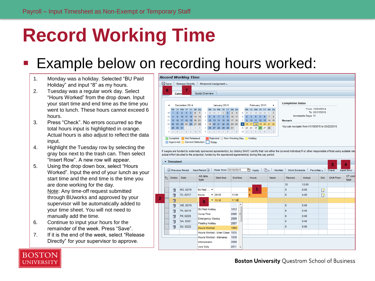# **Record Working Time**

#### Example below on recording hours worked:

- 1. Monday was a holiday. Selected "BU Paid Holiday" and input "8" as my hours.
- 2. Tuesday was a regular work day. Select "Hours Worked" from the drop down. Input your start time and end time as the time you went to lunch. These hours cannot exceed 6 hours.
- 3. Press "Check". No errors occurred so the total hours input is highlighted in orange. Actual hours is also adjust to reflect the data input.
- 4. Highlight the Tuesday row by selecting the gray box next to the trash can. Then select "Insert Row". A new row will appear.
- 5. Using the drop down box, select "Hours Worked". Input the end of your lunch as your start time and the end time is the time you are done working for the day. Note: Any time-off request submitted through BUworks and approved by your supervisor will be automatically added to your time sheet. You will not need to manually add the time.
- 6. Continue to input your hours for the remainder of the week. Press "Save".
- 7. If it is the end of the week, select "Release Directly" for your supervisor to approve.



|   | $\blacktriangledown$ Timesheet<br>3<br>4 |                                                                                                                                       |                                          |                                  |                                                     |                                |          |   |              |      |              |        |      |            |                |
|---|------------------------------------------|---------------------------------------------------------------------------------------------------------------------------------------|------------------------------------------|----------------------------------|-----------------------------------------------------|--------------------------------|----------|---|--------------|------|--------------|--------|------|------------|----------------|
|   |                                          | Apply   $\Box$   Worklist   Work Schedule   Favorites<br>Week from: 02/16/2015<br>Next Period $\odot$<br>(4) Previous Period<br>Check |                                          |                                  |                                                     |                                |          |   |              |      |              |        |      |            |                |
|   |                                          | <b>In</b><br><b>Delete</b>                                                                                                            |                                          | Date                             | Att./abs.<br>type                                   | Start time                     | End time |   | <b>Hours</b> | Name | Planned      | Actual | Det. | Shift Prem | OT com<br>type |
|   |                                          |                                                                                                                                       |                                          |                                  |                                                     |                                |          |   |              |      | 32           | 12.00  |      |            |                |
|   |                                          | 命                                                                                                                                     |                                          | MO, 02/16                        | BU Paid $\blacktriangledown$                        |                                |          |   | 4<br>8       |      | $\mathbf{0}$ | 8.00   | R    |            |                |
|   |                                          | 冊                                                                                                                                     |                                          | TU, 02/17                        | Hours $$ $\blacktriangleright$ 09:00                |                                | 13:00    |   |              |      | 8            | 4.00   | B    |            |                |
| 2 |                                          | 命<br>$- 13:30$<br>5                                                                                                                   |                                          |                                  |                                                     | 17:30                          |          |   |              |      |              |        |      |            |                |
|   |                                          | î                                                                                                                                     |                                          | WE, 02/18                        |                                                     |                                |          | ▴ |              |      | 8            | 0.00   |      |            |                |
|   |                                          |                                                                                                                                       | <b>BU Paid Holiday</b><br>㎡<br>TH, 02/19 |                                  | 1012                                                |                                |          |   | 8            | 0.00 |              |        |      |            |                |
|   |                                          | î                                                                                                                                     |                                          | <b>Comp Time</b><br>FR, 02/20    |                                                     | $2006 \equiv$                  |          |   |              | 8    | 0.00         |        |      |            |                |
|   |                                          | 命                                                                                                                                     |                                          | SA, 02/21                        | <b>Emergency Closing</b><br><b>Floating Holiday</b> | 2009<br>2007                   |          |   |              | o    | 0.00         |        |      |            |                |
|   |                                          | 审                                                                                                                                     |                                          | SU, 02/22<br><b>Hours Worked</b> |                                                     | 1000                           |          |   |              | 0    | 0.00         |        |      |            |                |
|   |                                          |                                                                                                                                       |                                          |                                  |                                                     | Hours Worked - Emer Close 1015 |          |   |              |      |              |        |      |            |                |
|   |                                          |                                                                                                                                       |                                          |                                  | <b>Hours Worked - Intersess</b><br>1016             |                                |          |   |              |      |              |        |      |            |                |
|   | <b>Intersession</b>                      |                                                                                                                                       |                                          |                                  |                                                     | 2008                           |          |   |              |      |              |        |      |            |                |
|   | <b>Jury Duty</b>                         |                                                                                                                                       |                                          |                                  |                                                     |                                | $2011 -$ |   |              |      |              |        |      |            |                |



**Boston University Ouestrom School of Business**